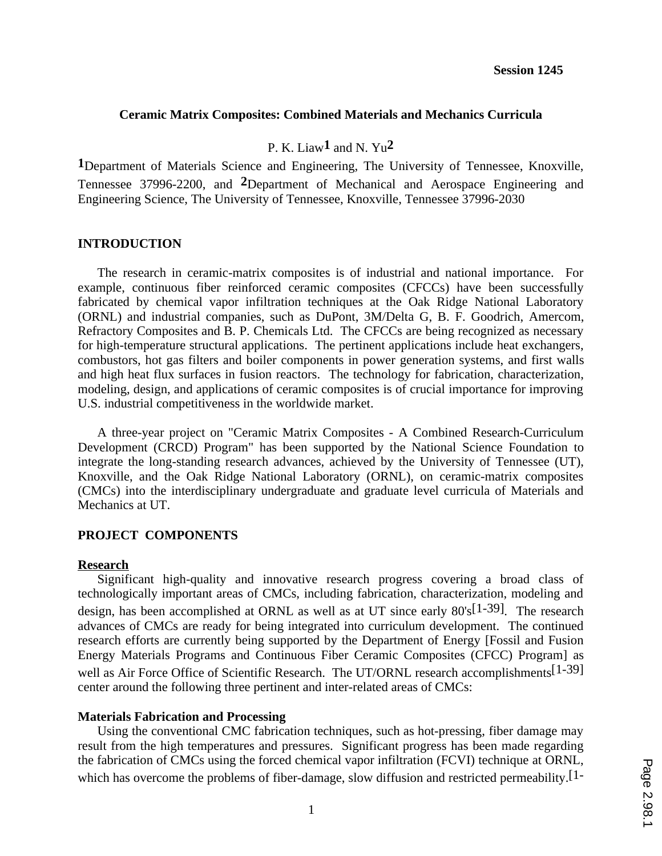## **Ceramic Matrix Composites: Combined Materials and Mechanics Curricula**

# P. K. Liaw**1** and N. Yu**2**

**1**Department of Materials Science and Engineering, The University of Tennessee, Knoxville, Tennessee 37996-2200, and **2**Department of Mechanical and Aerospace Engineering and Engineering Science, The University of Tennessee, Knoxville, Tennessee 37996-2030

## **INTRODUCTION**

The research in ceramic-matrix composites is of industrial and national importance. For example, continuous fiber reinforced ceramic composites (CFCCs) have been successfully fabricated by chemical vapor infiltration techniques at the Oak Ridge National Laboratory (ORNL) and industrial companies, such as DuPont, 3M/Delta G, B. F. Goodrich, Amercom, Refractory Composites and B. P. Chemicals Ltd. The CFCCs are being recognized as necessary for high-temperature structural applications. The pertinent applications include heat exchangers, combustors, hot gas filters and boiler components in power generation systems, and first walls and high heat flux surfaces in fusion reactors. The technology for fabrication, characterization, modeling, design, and applications of ceramic composites is of crucial importance for improving U.S. industrial competitiveness in the worldwide market.

A three-year project on "Ceramic Matrix Composites - A Combined Research-Curriculum Development (CRCD) Program" has been supported by the National Science Foundation to integrate the long-standing research advances, achieved by the University of Tennessee (UT), Knoxville, and the Oak Ridge National Laboratory (ORNL), on ceramic-matrix composites (CMCs) into the interdisciplinary undergraduate and graduate level curricula of Materials and Mechanics at UT.

## **PROJECT COMPONENTS**

#### **Research**

Significant high-quality and innovative research progress covering a broad class of technologically important areas of CMCs, including fabrication, characterization, modeling and design, has been accomplished at ORNL as well as at UT since early 80's[1-39]. The research advances of CMCs are ready for being integrated into curriculum development. The continued research efforts are currently being supported by the Department of Energy [Fossil and Fusion Energy Materials Programs and Continuous Fiber Ceramic Composites (CFCC) Program] as well as Air Force Office of Scientific Research. The UT/ORNL research accomplishments<sup>[1-39]</sup> center around the following three pertinent and inter-related areas of CMCs:

#### **Materials Fabrication and Processing**

Using the conventional CMC fabrication techniques, such as hot-pressing, fiber damage may result from the high temperatures and pressures. Significant progress has been made regarding the fabrication of CMCs using the forced chemical vapor infiltration (FCVI) technique at ORNL, which has overcome the problems of fiber-damage, slow diffusion and restricted permeability.<sup>[1-1]</sup>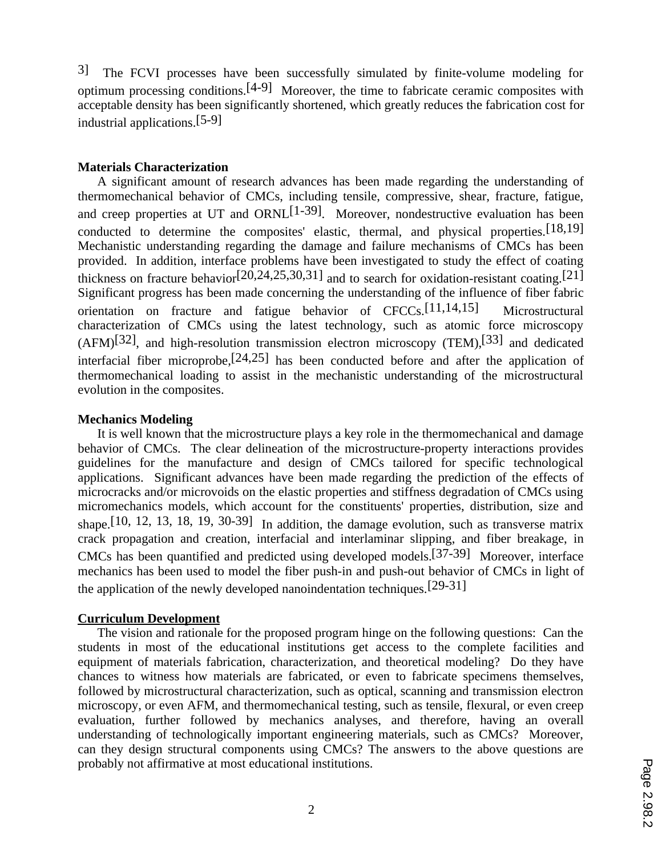3] The FCVI processes have been successfully simulated by finite-volume modeling for optimum processing conditions.<sup>[4-9]</sup> Moreover, the time to fabricate ceramic composites with acceptable density has been significantly shortened, which greatly reduces the fabrication cost for industrial applications.[5-9]

## **Materials Characterization**

A significant amount of research advances has been made regarding the understanding of thermomechanical behavior of CMCs, including tensile, compressive, shear, fracture, fatigue, and creep properties at UT and ORNL<sup>[1-39]</sup>. Moreover, nondestructive evaluation has been conducted to determine the composites' elastic, thermal, and physical properties.[18,19] Mechanistic understanding regarding the damage and failure mechanisms of CMCs has been provided. In addition, interface problems have been investigated to study the effect of coating thickness on fracture behavior<sup>[20,24,25,30,31]</sup> and to search for oxidation-resistant coating.<sup>[21]</sup> Significant progress has been made concerning the understanding of the influence of fiber fabric orientation on fracture and fatigue behavior of CFCCs.[11,14,15] Microstructural characterization of CMCs using the latest technology, such as atomic force microscopy  $(AFM)^{[32]}$ , and high-resolution transmission electron microscopy (TEM),<sup>[33]</sup> and dedicated interfacial fiber microprobe,[24,25] has been conducted before and after the application of thermomechanical loading to assist in the mechanistic understanding of the microstructural evolution in the composites.

## **Mechanics Modeling**

It is well known that the microstructure plays a key role in the thermomechanical and damage behavior of CMCs. The clear delineation of the microstructure-property interactions provides guidelines for the manufacture and design of CMCs tailored for specific technological applications. Significant advances have been made regarding the prediction of the effects of microcracks and/or microvoids on the elastic properties and stiffness degradation of CMCs using micromechanics models, which account for the constituents' properties, distribution, size and shape.[10, 12, 13, 18, 19, 30-39] In addition, the damage evolution, such as transverse matrix crack propagation and creation, interfacial and interlaminar slipping, and fiber breakage, in CMCs has been quantified and predicted using developed models.[37-39] Moreover, interface mechanics has been used to model the fiber push-in and push-out behavior of CMCs in light of the application of the newly developed nanoindentation techniques.[29-31]

#### **Curriculum Development**

The vision and rationale for the proposed program hinge on the following questions: Can the students in most of the educational institutions get access to the complete facilities and equipment of materials fabrication, characterization, and theoretical modeling? Do they have chances to witness how materials are fabricated, or even to fabricate specimens themselves, followed by microstructural characterization, such as optical, scanning and transmission electron microscopy, or even AFM, and thermomechanical testing, such as tensile, flexural, or even creep evaluation, further followed by mechanics analyses, and therefore, having an overall understanding of technologically important engineering materials, such as CMCs? Moreover, can they design structural components using CMCs? The answers to the above questions are probably not affirmative at most educational institutions.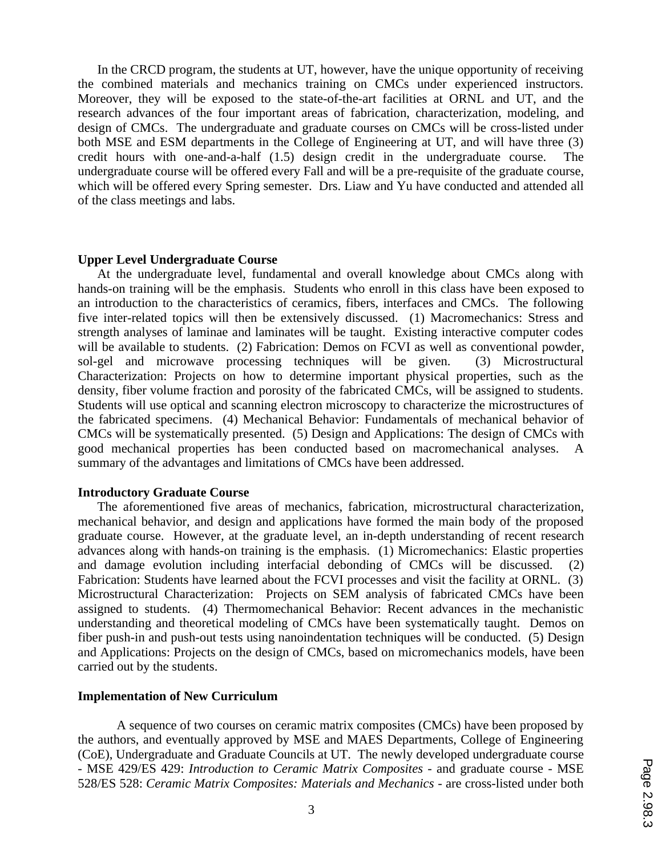In the CRCD program, the students at UT, however, have the unique opportunity of receiving the combined materials and mechanics training on CMCs under experienced instructors. Moreover, they will be exposed to the state-of-the-art facilities at ORNL and UT, and the research advances of the four important areas of fabrication, characterization, modeling, and design of CMCs. The undergraduate and graduate courses on CMCs will be cross-listed under both MSE and ESM departments in the College of Engineering at UT, and will have three (3) credit hours with one-and-a-half  $(1.5)$  design credit in the undergraduate course. undergraduate course will be offered every Fall and will be a pre-requisite of the graduate course, which will be offered every Spring semester. Drs. Liaw and Yu have conducted and attended all of the class meetings and labs.

#### **Upper Level Undergraduate Course**

At the undergraduate level, fundamental and overall knowledge about CMCs along with hands-on training will be the emphasis. Students who enroll in this class have been exposed to an introduction to the characteristics of ceramics, fibers, interfaces and CMCs. The following five inter-related topics will then be extensively discussed. (1) Macromechanics: Stress and strength analyses of laminae and laminates will be taught. Existing interactive computer codes will be available to students. (2) Fabrication: Demos on FCVI as well as conventional powder, sol-gel and microwave processing techniques will be given. (3) Microstructural Characterization: Projects on how to determine important physical properties, such as the density, fiber volume fraction and porosity of the fabricated CMCs, will be assigned to students. Students will use optical and scanning electron microscopy to characterize the microstructures of the fabricated specimens. (4) Mechanical Behavior: Fundamentals of mechanical behavior of CMCs will be systematically presented. (5) Design and Applications: The design of CMCs with good mechanical properties has been conducted based on macromechanical analyses. A summary of the advantages and limitations of CMCs have been addressed.

#### **Introductory Graduate Course**

The aforementioned five areas of mechanics, fabrication, microstructural characterization, mechanical behavior, and design and applications have formed the main body of the proposed graduate course. However, at the graduate level, an in-depth understanding of recent research advances along with hands-on training is the emphasis. (1) Micromechanics: Elastic properties and damage evolution including interfacial debonding of CMCs will be discussed. (2) Fabrication: Students have learned about the FCVI processes and visit the facility at ORNL. (3) Microstructural Characterization: Projects on SEM analysis of fabricated CMCs have been assigned to students. (4) Thermomechanical Behavior: Recent advances in the mechanistic understanding and theoretical modeling of CMCs have been systematically taught. Demos on fiber push-in and push-out tests using nanoindentation techniques will be conducted. (5) Design and Applications: Projects on the design of CMCs, based on micromechanics models, have been carried out by the students.

#### **Implementation of New Curriculum**

A sequence of two courses on ceramic matrix composites (CMCs) have been proposed by the authors, and eventually approved by MSE and MAES Departments, College of Engineering (CoE), Undergraduate and Graduate Councils at UT. The newly developed undergraduate course - MSE 429/ES 429: *Introduction to Ceramic Matrix Composites* - and graduate course - MSE 528/ES 528: *Ceramic Matrix Composites: Materials and Mechanics* - are cross-listed under both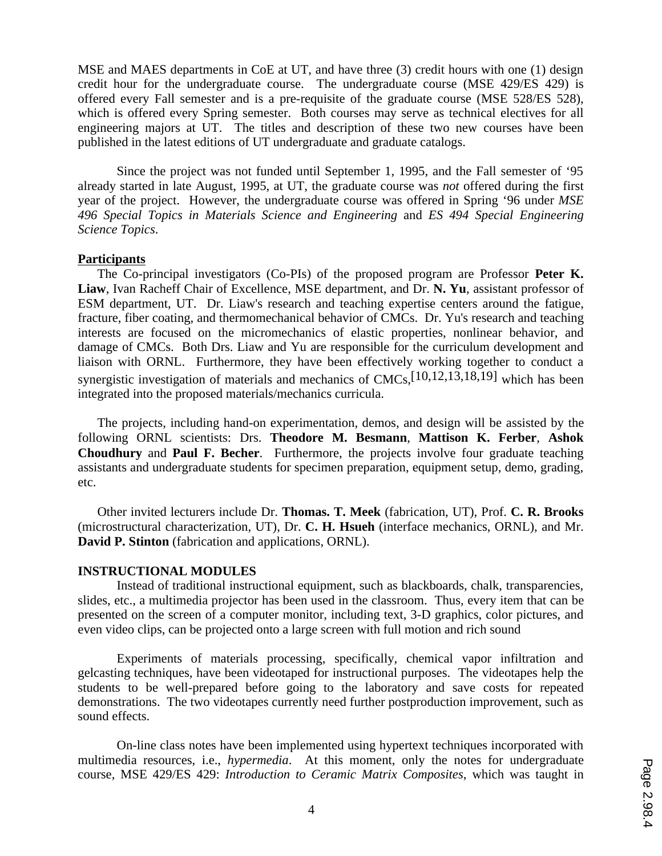MSE and MAES departments in CoE at UT, and have three (3) credit hours with one (1) design credit hour for the undergraduate course. The undergraduate course (MSE 429/ES 429) is offered every Fall semester and is a pre-requisite of the graduate course (MSE 528/ES 528), which is offered every Spring semester. Both courses may serve as technical electives for all engineering majors at UT. The titles and description of these two new courses have been published in the latest editions of UT undergraduate and graduate catalogs.

Since the project was not funded until September 1, 1995, and the Fall semester of '95 already started in late August, 1995, at UT, the graduate course was *not* offered during the first year of the project. However, the undergraduate course was offered in Spring '96 under *MSE 496 Special Topics in Materials Science and Engineering* and *ES 494 Special Engineering Science Topics*.

#### **Participants**

The Co-principal investigators (Co-PIs) of the proposed program are Professor **Peter K. Liaw**, Ivan Racheff Chair of Excellence, MSE department, and Dr. **N. Yu**, assistant professor of ESM department, UT. Dr. Liaw's research and teaching expertise centers around the fatigue, fracture, fiber coating, and thermomechanical behavior of CMCs. Dr. Yu's research and teaching interests are focused on the micromechanics of elastic properties, nonlinear behavior, and damage of CMCs. Both Drs. Liaw and Yu are responsible for the curriculum development and liaison with ORNL. Furthermore, they have been effectively working together to conduct a synergistic investigation of materials and mechanics of CMCs,[10,12,13,18,19] which has been integrated into the proposed materials/mechanics curricula.

The projects, including hand-on experimentation, demos, and design will be assisted by the following ORNL scientists: Drs. **Theodore M. Besmann**, **Mattison K. Ferber**, **Ashok Choudhury** and **Paul F. Becher**. Furthermore, the projects involve four graduate teaching assistants and undergraduate students for specimen preparation, equipment setup, demo, grading, etc.

Other invited lecturers include Dr. **Thomas. T. Meek** (fabrication, UT), Prof. **C. R. Brooks** (microstructural characterization, UT), Dr. **C. H. Hsueh** (interface mechanics, ORNL), and Mr. **David P. Stinton** (fabrication and applications, ORNL).

### **INSTRUCTIONAL MODULES**

Instead of traditional instructional equipment, such as blackboards, chalk, transparencies, slides, etc., a multimedia projector has been used in the classroom. Thus, every item that can be presented on the screen of a computer monitor, including text, 3-D graphics, color pictures, and even video clips, can be projected onto a large screen with full motion and rich sound

Experiments of materials processing, specifically, chemical vapor infiltration and gelcasting techniques, have been videotaped for instructional purposes. The videotapes help the students to be well-prepared before going to the laboratory and save costs for repeated demonstrations. The two videotapes currently need further postproduction improvement, such as sound effects.

On-line class notes have been implemented using hypertext techniques incorporated with multimedia resources, i.e., *hypermedia*. At this moment, only the notes for undergraduate course, MSE 429/ES 429: *Introduction to Ceramic Matrix Composites*, which was taught in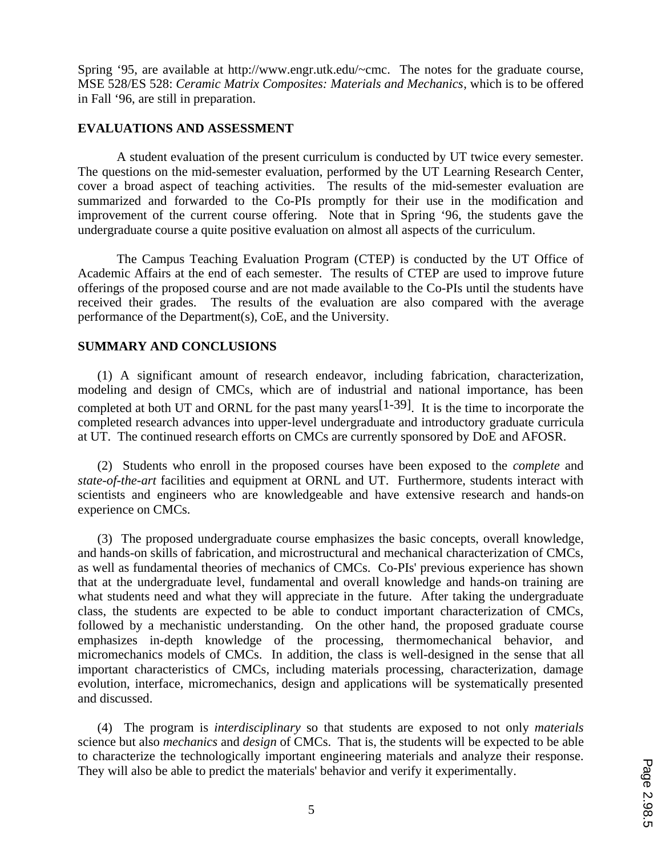Spring '95, are available at http://www.engr.utk.edu/~cmc. The notes for the graduate course, MSE 528/ES 528: *Ceramic Matrix Composites: Materials and Mechanics*, which is to be offered in Fall '96, are still in preparation.

## **EVALUATIONS AND ASSESSMENT**

A student evaluation of the present curriculum is conducted by UT twice every semester. The questions on the mid-semester evaluation, performed by the UT Learning Research Center, cover a broad aspect of teaching activities. The results of the mid-semester evaluation are summarized and forwarded to the Co-PIs promptly for their use in the modification and improvement of the current course offering. Note that in Spring '96, the students gave the undergraduate course a quite positive evaluation on almost all aspects of the curriculum.

The Campus Teaching Evaluation Program (CTEP) is conducted by the UT Office of Academic Affairs at the end of each semester. The results of CTEP are used to improve future offerings of the proposed course and are not made available to the Co-PIs until the students have received their grades. The results of the evaluation are also compared with the average performance of the Department(s), CoE, and the University.

## **SUMMARY AND CONCLUSIONS**

(1) A significant amount of research endeavor, including fabrication, characterization, modeling and design of CMCs, which are of industrial and national importance, has been completed at both UT and ORNL for the past many years  $[1-39]$ . It is the time to incorporate the completed research advances into upper-level undergraduate and introductory graduate curricula at UT. The continued research efforts on CMCs are currently sponsored by DoE and AFOSR.

(2) Students who enroll in the proposed courses have been exposed to the *complete* and *state-of-the-art* facilities and equipment at ORNL and UT. Furthermore, students interact with scientists and engineers who are knowledgeable and have extensive research and hands-on experience on CMCs.

(3) The proposed undergraduate course emphasizes the basic concepts, overall knowledge, and hands-on skills of fabrication, and microstructural and mechanical characterization of CMCs, as well as fundamental theories of mechanics of CMCs. Co-PIs' previous experience has shown that at the undergraduate level, fundamental and overall knowledge and hands-on training are what students need and what they will appreciate in the future. After taking the undergraduate class, the students are expected to be able to conduct important characterization of CMCs, followed by a mechanistic understanding. On the other hand, the proposed graduate course emphasizes in-depth knowledge of the processing, thermomechanical behavior, and micromechanics models of CMCs. In addition, the class is well-designed in the sense that all important characteristics of CMCs, including materials processing, characterization, damage evolution, interface, micromechanics, design and applications will be systematically presented and discussed.

(4) The program is *interdisciplinary* so that students are exposed to not only *materials* science but also *mechanics* and *design* of CMCs. That is, the students will be expected to be able to characterize the technologically important engineering materials and analyze their response. They will also be able to predict the materials' behavior and verify it experimentally.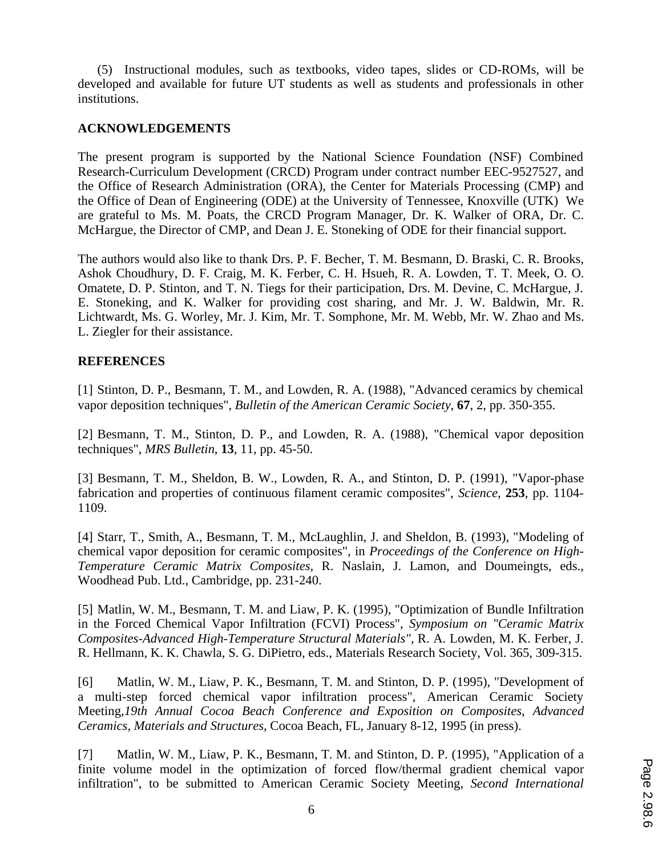(5) Instructional modules, such as textbooks, video tapes, slides or CD-ROMs, will be developed and available for future UT students as well as students and professionals in other institutions.

## **ACKNOWLEDGEMENTS**

The present program is supported by the National Science Foundation (NSF) Combined Research-Curriculum Development (CRCD) Program under contract number EEC-9527527, and the Office of Research Administration (ORA), the Center for Materials Processing (CMP) and the Office of Dean of Engineering (ODE) at the University of Tennessee, Knoxville (UTK) We are grateful to Ms. M. Poats, the CRCD Program Manager, Dr. K. Walker of ORA, Dr. C. McHargue, the Director of CMP, and Dean J. E. Stoneking of ODE for their financial support.

The authors would also like to thank Drs. P. F. Becher, T. M. Besmann, D. Braski, C. R. Brooks, Ashok Choudhury, D. F. Craig, M. K. Ferber, C. H. Hsueh, R. A. Lowden, T. T. Meek, O. O. Omatete, D. P. Stinton, and T. N. Tiegs for their participation, Drs. M. Devine, C. McHargue, J. E. Stoneking, and K. Walker for providing cost sharing, and Mr. J. W. Baldwin, Mr. R. Lichtwardt, Ms. G. Worley, Mr. J. Kim, Mr. T. Somphone, Mr. M. Webb, Mr. W. Zhao and Ms. L. Ziegler for their assistance.

## **REFERENCES**

[1] Stinton, D. P., Besmann, T. M., and Lowden, R. A. (1988), "Advanced ceramics by chemical vapor deposition techniques", *Bulletin of the American Ceramic Society*, **67**, 2, pp. 350-355.

[2] Besmann, T. M., Stinton, D. P., and Lowden, R. A. (1988), "Chemical vapor deposition techniques", *MRS Bulletin*, **13**, 11, pp. 45-50.

[3] Besmann, T. M., Sheldon, B. W., Lowden, R. A., and Stinton, D. P. (1991), "Vapor-phase fabrication and properties of continuous filament ceramic composites", *Science*, **253**, pp. 1104- 1109.

[4] Starr, T., Smith, A., Besmann, T. M., McLaughlin, J. and Sheldon, B. (1993), "Modeling of chemical vapor deposition for ceramic composites", in *Proceedings of the Conference on High-Temperature Ceramic Matrix Composites,* R. Naslain, J. Lamon, and Doumeingts, eds., Woodhead Pub. Ltd., Cambridge, pp. 231-240.

[5] Matlin, W. M., Besmann, T. M. and Liaw, P. K. (1995), "Optimization of Bundle Infiltration in the Forced Chemical Vapor Infiltration (FCVI) Process", *Symposium on "Ceramic Matrix Composites-Advanced High-Temperature Structural Materials",* R. A. Lowden, M. K. Ferber, J. R. Hellmann, K. K. Chawla, S. G. DiPietro, eds., Materials Research Society, Vol. 365, 309-315.

[6] Matlin, W. M., Liaw, P. K., Besmann, T. M. and Stinton, D. P. (1995), "Development of a multi-step forced chemical vapor infiltration process", American Ceramic Society Meeting,*19th Annual Cocoa Beach Conference and Exposition on Composites, Advanced Ceramics, Materials and Structures*, Cocoa Beach, FL, January 8-12, 1995 (in press).

[7] Matlin, W. M., Liaw, P. K., Besmann, T. M. and Stinton, D. P. (1995), "Application of a finite volume model in the optimization of forced flow/thermal gradient chemical vapor infiltration", to be submitted to American Ceramic Society Meeting, *Second International*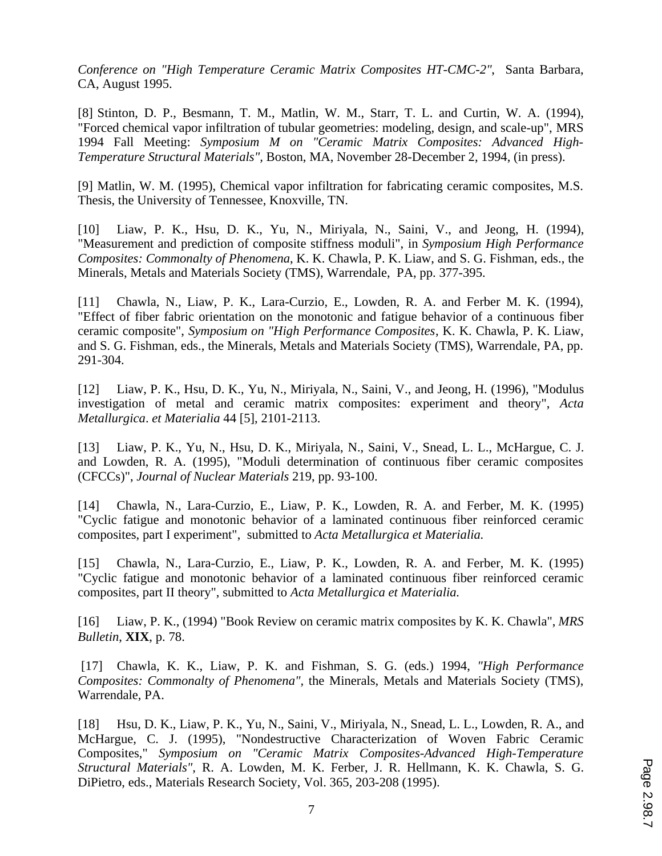*Conference on "High Temperature Ceramic Matrix Composites HT-CMC-2"*, Santa Barbara, CA, August 1995.

[8] Stinton, D. P., Besmann, T. M., Matlin, W. M., Starr, T. L. and Curtin, W. A. (1994), "Forced chemical vapor infiltration of tubular geometries: modeling, design, and scale-up", MRS 1994 Fall Meeting: *Symposium M on "Ceramic Matrix Composites: Advanced High-Temperature Structural Materials",* Boston, MA, November 28-December 2, 1994, (in press).

[9] Matlin, W. M. (1995), Chemical vapor infiltration for fabricating ceramic composites, M.S. Thesis, the University of Tennessee, Knoxville, TN.

[10] Liaw, P. K., Hsu, D. K., Yu, N., Miriyala, N., Saini, V., and Jeong, H. (1994), "Measurement and prediction of composite stiffness moduli", in *Symposium High Performance Composites: Commonalty of Phenomena*, K. K. Chawla, P. K. Liaw, and S. G. Fishman, eds., the Minerals, Metals and Materials Society (TMS), Warrendale, PA, pp. 377-395.

[11] Chawla, N., Liaw, P. K., Lara-Curzio, E., Lowden, R. A. and Ferber M. K. (1994), "Effect of fiber fabric orientation on the monotonic and fatigue behavior of a continuous fiber ceramic composite", *Symposium on "High Performance Composites*, K. K. Chawla, P. K. Liaw, and S. G. Fishman, eds., the Minerals, Metals and Materials Society (TMS), Warrendale, PA, pp. 291-304.

[12] Liaw, P. K., Hsu, D. K., Yu, N., Miriyala, N., Saini, V., and Jeong, H. (1996), "Modulus investigation of metal and ceramic matrix composites: experiment and theory", *Acta Metallurgica*. *et Materialia* 44 [5], 2101-2113.

[13] Liaw, P. K., Yu, N., Hsu, D. K., Miriyala, N., Saini, V., Snead, L. L., McHargue, C. J. and Lowden, R. A. (1995), "Moduli determination of continuous fiber ceramic composites (CFCCs)", *Journal of Nuclear Materials* 219, pp. 93-100.

[14] Chawla, N., Lara-Curzio, E., Liaw, P. K., Lowden, R. A. and Ferber, M. K. (1995) "Cyclic fatigue and monotonic behavior of a laminated continuous fiber reinforced ceramic composites, part I experiment", submitted to *Acta Metallurgica et Materialia.*

[15] Chawla, N., Lara-Curzio, E., Liaw, P. K., Lowden, R. A. and Ferber, M. K. (1995) "Cyclic fatigue and monotonic behavior of a laminated continuous fiber reinforced ceramic composites, part II theory", submitted to *Acta Metallurgica et Materialia.*

[16] Liaw, P. K., (1994) "Book Review on ceramic matrix composites by K. K. Chawla", *MRS Bulletin*, **XIX**, p. 78.

 [17] Chawla, K. K., Liaw, P. K. and Fishman, S. G. (eds.) 1994, *"High Performance Composites: Commonalty of Phenomena",* the Minerals, Metals and Materials Society (TMS), Warrendale, PA.

[18] Hsu, D. K., Liaw, P. K., Yu, N., Saini, V., Miriyala, N., Snead, L. L., Lowden, R. A., and McHargue, C. J. (1995), "Nondestructive Characterization of Woven Fabric Ceramic Composites," *Symposium on "Ceramic Matrix Composites-Advanced High-Temperature Structural Materials",* R. A. Lowden, M. K. Ferber, J. R. Hellmann, K. K. Chawla, S. G. DiPietro, eds., Materials Research Society, Vol. 365, 203-208 (1995).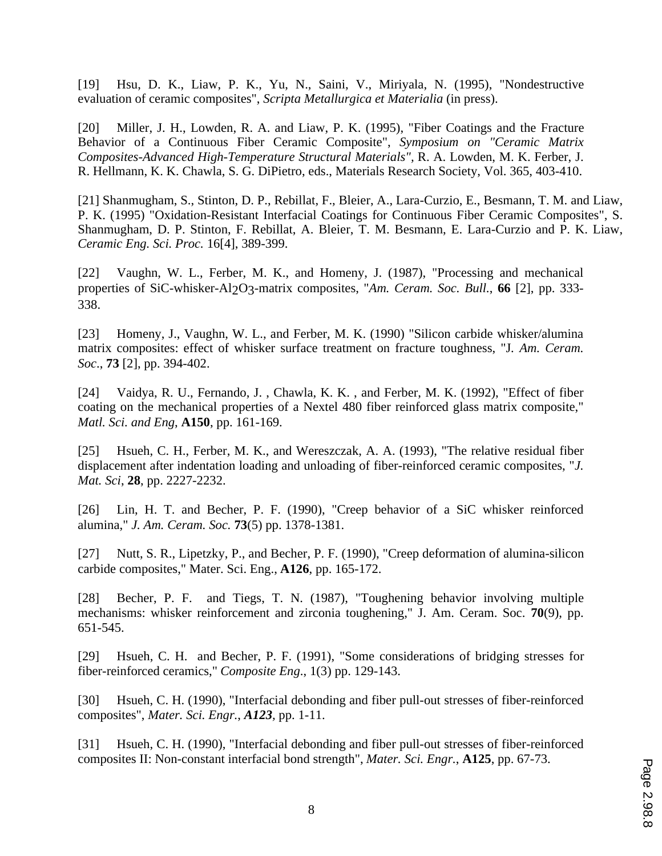[19] Hsu, D. K., Liaw, P. K., Yu, N., Saini, V., Miriyala, N. (1995), "Nondestructive evaluation of ceramic composites", *Scripta Metallurgica et Materialia* (in press).

[20] Miller, J. H., Lowden, R. A. and Liaw, P. K. (1995), "Fiber Coatings and the Fracture Behavior of a Continuous Fiber Ceramic Composite", *Symposium on "Ceramic Matrix Composites-Advanced High-Temperature Structural Materials",* R. A. Lowden, M. K. Ferber, J. R. Hellmann, K. K. Chawla, S. G. DiPietro, eds., Materials Research Society, Vol. 365, 403-410.

[21] Shanmugham, S., Stinton, D. P., Rebillat, F., Bleier, A., Lara-Curzio, E., Besmann, T. M. and Liaw, P. K. (1995) "Oxidation-Resistant Interfacial Coatings for Continuous Fiber Ceramic Composites", S. Shanmugham, D. P. Stinton, F. Rebillat, A. Bleier, T. M. Besmann, E. Lara-Curzio and P. K. Liaw, *Ceramic Eng. Sci. Proc.* 16[4], 389-399.

[22] Vaughn, W. L., Ferber, M. K., and Homeny, J. (1987), "Processing and mechanical properties of SiC-whisker-Al2O3-matrix composites, "*Am. Ceram. Soc. Bull.*, **66** [2], pp. 333- 338.

[23] Homeny, J., Vaughn, W. L., and Ferber, M. K. (1990) "Silicon carbide whisker/alumina matrix composites: effect of whisker surface treatment on fracture toughness, "J*. Am. Ceram. Soc*., **73** [2], pp. 394-402.

[24] Vaidya, R. U., Fernando, J. , Chawla, K. K. , and Ferber, M. K. (1992), "Effect of fiber coating on the mechanical properties of a Nextel 480 fiber reinforced glass matrix composite," *Matl. Sci. and Eng*, **A150**, pp. 161-169.

[25] Hsueh, C. H., Ferber, M. K., and Wereszczak, A. A. (1993), "The relative residual fiber displacement after indentation loading and unloading of fiber-reinforced ceramic composites, "*J. Mat. Sci*, **28**, pp. 2227-2232.

[26] Lin, H. T. and Becher, P. F. (1990), "Creep behavior of a SiC whisker reinforced alumina," *J. Am. Ceram. Soc.* **73**(5) pp. 1378-1381.

[27] Nutt, S. R., Lipetzky, P., and Becher, P. F. (1990), "Creep deformation of alumina-silicon carbide composites," Mater. Sci. Eng., **A126**, pp. 165-172.

[28] Becher, P. F. and Tiegs, T. N. (1987), "Toughening behavior involving multiple mechanisms: whisker reinforcement and zirconia toughening," J. Am. Ceram. Soc. **70**(9), pp. 651-545.

[29] Hsueh, C. H. and Becher, P. F. (1991), "Some considerations of bridging stresses for fiber-reinforced ceramics," *Composite Eng*., 1(3) pp. 129-143.

[30] Hsueh, C. H. (1990), "Interfacial debonding and fiber pull-out stresses of fiber-reinforced composites", *Mater. Sci. Engr.*, *A123,* pp. 1-11.

[31] Hsueh, C. H. (1990), "Interfacial debonding and fiber pull-out stresses of fiber-reinforced composites II: Non-constant interfacial bond strength", *Mater. Sci. Engr.*, **A125**, pp. 67-73.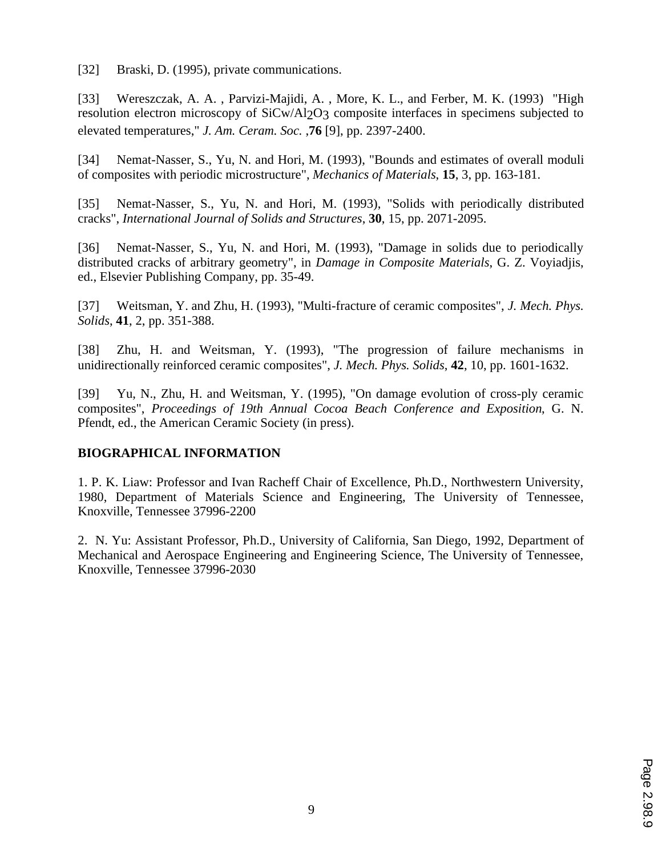[32] Braski, D. (1995), private communications.

[33] Wereszczak, A. A. , Parvizi-Majidi, A. , More, K. L., and Ferber, M. K. (1993) "High resolution electron microscopy of SiCw/Al2O3 composite interfaces in specimens subjected to elevated temperatures," *J. Am. Ceram. Soc.* ,**76** [9], pp. 2397-2400.

[34] Nemat-Nasser, S., Yu, N. and Hori, M. (1993), "Bounds and estimates of overall moduli of composites with periodic microstructure", *Mechanics of Materials*, **15**, 3, pp. 163-181.

[35] Nemat-Nasser, S., Yu, N. and Hori, M. (1993), "Solids with periodically distributed cracks", *International Journal of Solids and Structures*, **30**, 15, pp. 2071-2095.

[36] Nemat-Nasser, S., Yu, N. and Hori, M. (1993), "Damage in solids due to periodically distributed cracks of arbitrary geometry", in *Damage in Composite Materials*, G. Z. Voyiadjis, ed., Elsevier Publishing Company, pp. 35-49.

[37] Weitsman, Y. and Zhu, H. (1993), "Multi-fracture of ceramic composites", *J. Mech. Phys. Solids*, **41**, 2, pp. 351-388.

[38] Zhu, H. and Weitsman, Y. (1993), "The progression of failure mechanisms in unidirectionally reinforced ceramic composites", *J. Mech. Phys. Solids*, **42**, 10, pp. 1601-1632.

[39] Yu, N., Zhu, H. and Weitsman, Y. (1995), "On damage evolution of cross-ply ceramic composites", *Proceedings of 19th Annual Cocoa Beach Conference and Exposition*, G. N. Pfendt, ed., the American Ceramic Society (in press).

## **BIOGRAPHICAL INFORMATION**

1. P. K. Liaw: Professor and Ivan Racheff Chair of Excellence, Ph.D., Northwestern University, 1980, Department of Materials Science and Engineering, The University of Tennessee, Knoxville, Tennessee 37996-2200

2. N. Yu: Assistant Professor, Ph.D., University of California, San Diego, 1992, Department of Mechanical and Aerospace Engineering and Engineering Science, The University of Tennessee, Knoxville, Tennessee 37996-2030